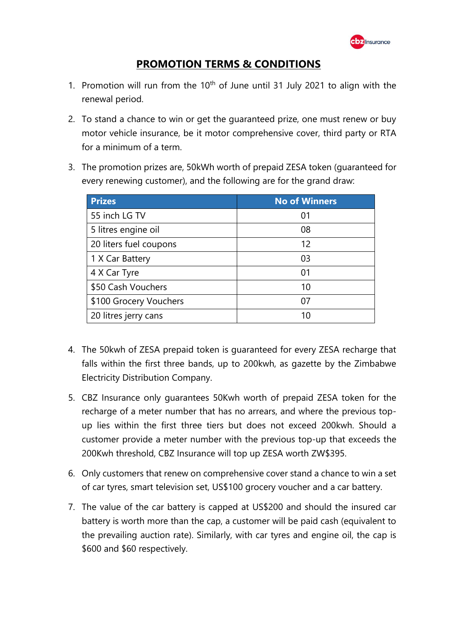

## **PROMOTION TERMS & CONDITIONS**

- 1. Promotion will run from the  $10<sup>th</sup>$  of June until 31 July 2021 to align with the renewal period.
- 2. To stand a chance to win or get the guaranteed prize, one must renew or buy motor vehicle insurance, be it motor comprehensive cover, third party or RTA for a minimum of a term.
- 3. The promotion prizes are, 50kWh worth of prepaid ZESA token (guaranteed for every renewing customer), and the following are for the grand draw:

| <b>Prizes</b>          | <b>No of Winners</b> |
|------------------------|----------------------|
| 55 inch LG TV          | 01                   |
| 5 litres engine oil    | 08                   |
| 20 liters fuel coupons | 12                   |
| 1 X Car Battery        | 03                   |
| 4 X Car Tyre           | 01                   |
| \$50 Cash Vouchers     | 10                   |
| \$100 Grocery Vouchers | 07                   |
| 20 litres jerry cans   | 10                   |

- 4. The 50kwh of ZESA prepaid token is guaranteed for every ZESA recharge that falls within the first three bands, up to 200kwh, as gazette by the Zimbabwe Electricity Distribution Company.
- 5. CBZ Insurance only guarantees 50Kwh worth of prepaid ZESA token for the recharge of a meter number that has no arrears, and where the previous topup lies within the first three tiers but does not exceed 200kwh. Should a customer provide a meter number with the previous top-up that exceeds the 200Kwh threshold, CBZ Insurance will top up ZESA worth ZW\$395.
- 6. Only customers that renew on comprehensive cover stand a chance to win a set of car tyres, smart television set, US\$100 grocery voucher and a car battery.
- 7. The value of the car battery is capped at US\$200 and should the insured car battery is worth more than the cap, a customer will be paid cash (equivalent to the prevailing auction rate). Similarly, with car tyres and engine oil, the cap is \$600 and \$60 respectively.